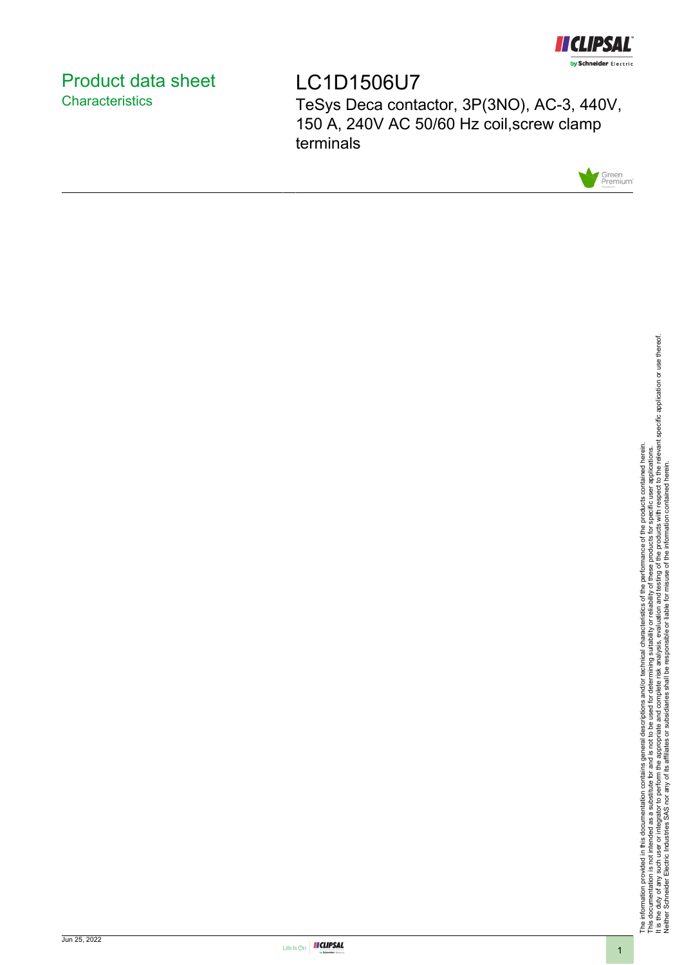

# <span id="page-0-0"></span>Product data sheet **Characteristics**

LC1D1506U7 TeSys Deca contactor, 3P(3NO), AC-3, 440V, 150 A, 240V AC 50/60 Hz coil,screw clamp terminals



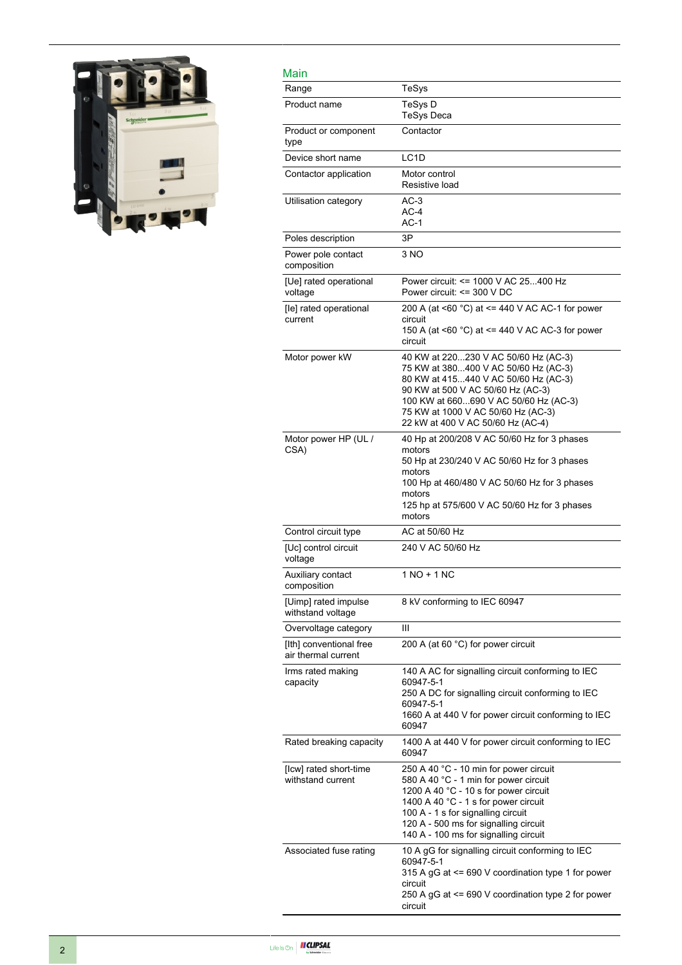

| Main                                           |                                                                                                                                                                                                                                                                                          |
|------------------------------------------------|------------------------------------------------------------------------------------------------------------------------------------------------------------------------------------------------------------------------------------------------------------------------------------------|
| Range                                          | TeSys                                                                                                                                                                                                                                                                                    |
| Product name                                   | TeSys D<br>TeSys Deca                                                                                                                                                                                                                                                                    |
| Product or component<br>type                   | Contactor                                                                                                                                                                                                                                                                                |
| Device short name                              | LC <sub>1</sub> D                                                                                                                                                                                                                                                                        |
| Contactor application                          | Motor control<br>Resistive load                                                                                                                                                                                                                                                          |
| Utilisation category                           | $AC-3$<br>$AC-4$<br>AC-1                                                                                                                                                                                                                                                                 |
| Poles description                              | 3P                                                                                                                                                                                                                                                                                       |
| Power pole contact<br>composition              | 3 NO                                                                                                                                                                                                                                                                                     |
| [Ue] rated operational<br>voltage              | Power circuit: <= 1000 V AC 25400 Hz<br>Power circuit: <= 300 V DC                                                                                                                                                                                                                       |
| [le] rated operational<br>current              | 200 A (at <60 $^{\circ}$ C) at <= 440 V AC AC-1 for power<br>circuit<br>150 A (at $\leq 60$ °C) at $\leq$ 440 V AC AC-3 for power<br>circuit                                                                                                                                             |
| Motor power kW                                 | 40 KW at 220230 V AC 50/60 Hz (AC-3)<br>75 KW at 380400 V AC 50/60 Hz (AC-3)<br>80 KW at 415440 V AC 50/60 Hz (AC-3)<br>90 KW at 500 V AC 50/60 Hz (AC-3)<br>100 KW at 660690 V AC 50/60 Hz (AC-3)<br>75 KW at 1000 V AC 50/60 Hz (AC-3)<br>22 kW at 400 V AC 50/60 Hz (AC-4)            |
| Motor power HP (UL /<br>CSA)                   | 40 Hp at 200/208 V AC 50/60 Hz for 3 phases<br>motors<br>50 Hp at 230/240 V AC 50/60 Hz for 3 phases<br>motors<br>100 Hp at 460/480 V AC 50/60 Hz for 3 phases<br>motors<br>125 hp at 575/600 V AC 50/60 Hz for 3 phases<br>motors                                                       |
| Control circuit type                           | AC at 50/60 Hz                                                                                                                                                                                                                                                                           |
| [Uc] control circuit<br>voltage                | 240 V AC 50/60 Hz                                                                                                                                                                                                                                                                        |
| Auxiliary contact<br>composition               | $1 NQ + 1 NC$                                                                                                                                                                                                                                                                            |
| [Uimp] rated impulse<br>withstand voltage      | 8 kV conforming to IEC 60947                                                                                                                                                                                                                                                             |
| Overvoltage category                           | Ш                                                                                                                                                                                                                                                                                        |
| [Ith] conventional free<br>air thermal current | 200 A (at 60 °C) for power circuit                                                                                                                                                                                                                                                       |
| Irms rated making<br>capacity                  | 140 A AC for signalling circuit conforming to IEC<br>60947-5-1<br>250 A DC for signalling circuit conforming to IEC<br>60947-5-1<br>1660 A at 440 V for power circuit conforming to IEC<br>60947                                                                                         |
| Rated breaking capacity                        | 1400 A at 440 V for power circuit conforming to IEC<br>60947                                                                                                                                                                                                                             |
| [Icw] rated short-time<br>withstand current    | 250 A 40 °C - 10 min for power circuit<br>580 A 40 °C - 1 min for power circuit<br>1200 A 40 °C - 10 s for power circuit<br>1400 A 40 °C - 1 s for power circuit<br>100 A - 1 s for signalling circuit<br>120 A - 500 ms for signalling circuit<br>140 A - 100 ms for signalling circuit |
| Associated fuse rating                         | 10 A gG for signalling circuit conforming to IEC<br>60947-5-1<br>315 A gG at <= 690 V coordination type 1 for power<br>circuit<br>250 A gG at <= 690 V coordination type 2 for power<br>circuit                                                                                          |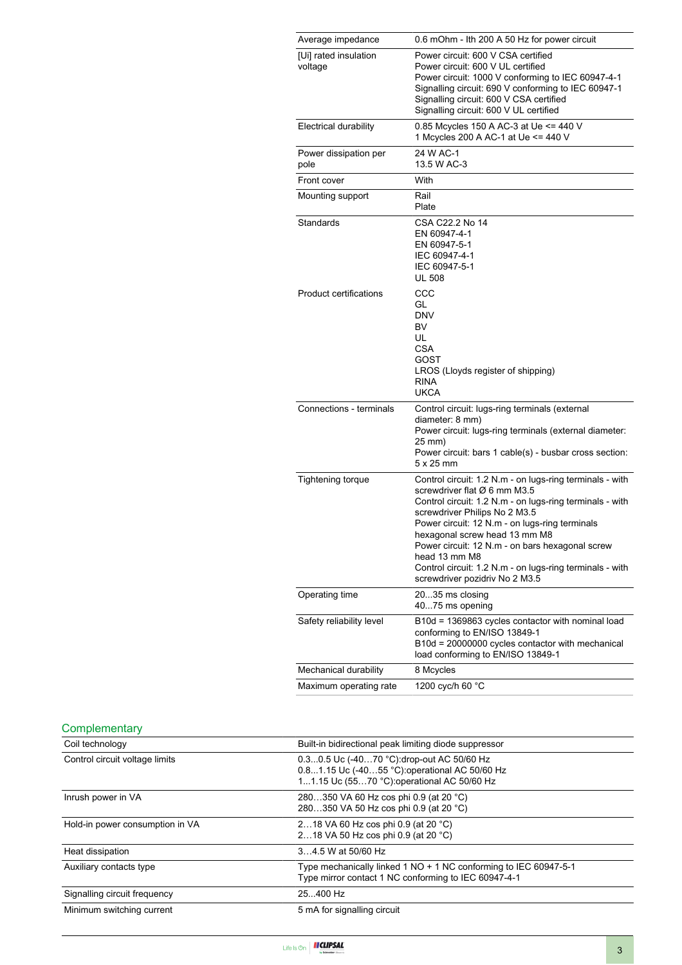| Average impedance                | 0.6 mOhm - Ith 200 A 50 Hz for power circuit                                                                                                                                                                                                                                                                                                                                                                                               |
|----------------------------------|--------------------------------------------------------------------------------------------------------------------------------------------------------------------------------------------------------------------------------------------------------------------------------------------------------------------------------------------------------------------------------------------------------------------------------------------|
| [Ui] rated insulation<br>voltage | Power circuit: 600 V CSA certified<br>Power circuit: 600 V UL certified<br>Power circuit: 1000 V conforming to IEC 60947-4-1<br>Signalling circuit: 690 V conforming to IEC 60947-1<br>Signalling circuit: 600 V CSA certified<br>Signalling circuit: 600 V UL certified                                                                                                                                                                   |
| <b>Electrical durability</b>     | 0.85 Mcycles 150 A AC-3 at Ue <= 440 V<br>1 Mcycles 200 A AC-1 at Ue <= 440 V                                                                                                                                                                                                                                                                                                                                                              |
| Power dissipation per<br>pole    | 24 W AC-1<br>13.5 W AC-3                                                                                                                                                                                                                                                                                                                                                                                                                   |
| Front cover                      | With                                                                                                                                                                                                                                                                                                                                                                                                                                       |
| Mounting support                 | Rail<br>Plate                                                                                                                                                                                                                                                                                                                                                                                                                              |
| Standards                        | CSA C22.2 No 14<br>EN 60947-4-1<br>EN 60947-5-1<br>IEC 60947-4-1<br>IEC 60947-5-1<br><b>UL 508</b>                                                                                                                                                                                                                                                                                                                                         |
| <b>Product certifications</b>    | CCC<br>GL<br><b>DNV</b><br>BV<br>UL<br>CSA<br>GOST<br>LROS (Lloyds register of shipping)<br><b>RINA</b><br><b>UKCA</b>                                                                                                                                                                                                                                                                                                                     |
| Connections - terminals          | Control circuit: lugs-ring terminals (external<br>diameter: 8 mm)<br>Power circuit: lugs-ring terminals (external diameter:<br>25 mm)<br>Power circuit: bars 1 cable(s) - busbar cross section:<br>$5 \times 25$ mm                                                                                                                                                                                                                        |
| <b>Tightening torque</b>         | Control circuit: 1.2 N.m - on lugs-ring terminals - with<br>screwdriver flat Ø 6 mm M3.5<br>Control circuit: 1.2 N.m - on lugs-ring terminals - with<br>screwdriver Philips No 2 M3.5<br>Power circuit: 12 N.m - on lugs-ring terminals<br>hexagonal screw head 13 mm M8<br>Power circuit: 12 N.m - on bars hexagonal screw<br>head 13 mm M8<br>Control circuit: 1.2 N.m - on lugs-ring terminals - with<br>screwdriver pozidriv No 2 M3.5 |
| Operating time                   | 2035 ms closing<br>4075 ms opening                                                                                                                                                                                                                                                                                                                                                                                                         |
| Safety reliability level         | B10d = 1369863 cycles contactor with nominal load<br>conforming to EN/ISO 13849-1<br>B10d = 20000000 cycles contactor with mechanical<br>load conforming to EN/ISO 13849-1                                                                                                                                                                                                                                                                 |
| Mechanical durability            | 8 Mcycles                                                                                                                                                                                                                                                                                                                                                                                                                                  |
| Maximum operating rate           | 1200 cyc/h 60 °C                                                                                                                                                                                                                                                                                                                                                                                                                           |

|  | Complementary |
|--|---------------|
|--|---------------|

| Coil technology                 | Built-in bidirectional peak limiting diode suppressor                                                                                      |
|---------------------------------|--------------------------------------------------------------------------------------------------------------------------------------------|
| Control circuit voltage limits  | 0.30.5 Uc (-4070 °C) drop-out AC 50/60 Hz<br>0.81.15 Uc (-4055 °C): operational AC 50/60 Hz<br>11.15 Uc (5570 °C): operational AC 50/60 Hz |
| Inrush power in VA              | 280350 VA 60 Hz cos phi 0.9 (at 20 °C)<br>280350 VA 50 Hz cos phi 0.9 (at 20 °C)                                                           |
| Hold-in power consumption in VA | 218 VA 60 Hz cos phi 0.9 (at 20 °C)<br>218 VA 50 Hz cos phi 0.9 (at 20 °C)                                                                 |
| Heat dissipation                | 34.5 W at 50/60 Hz                                                                                                                         |
| Auxiliary contacts type         | Type mechanically linked 1 NO + 1 NC conforming to IEC 60947-5-1<br>Type mirror contact 1 NC conforming to IEC 60947-4-1                   |
| Signalling circuit frequency    | 25.400 Hz                                                                                                                                  |
| Minimum switching current       | 5 mA for signalling circuit                                                                                                                |